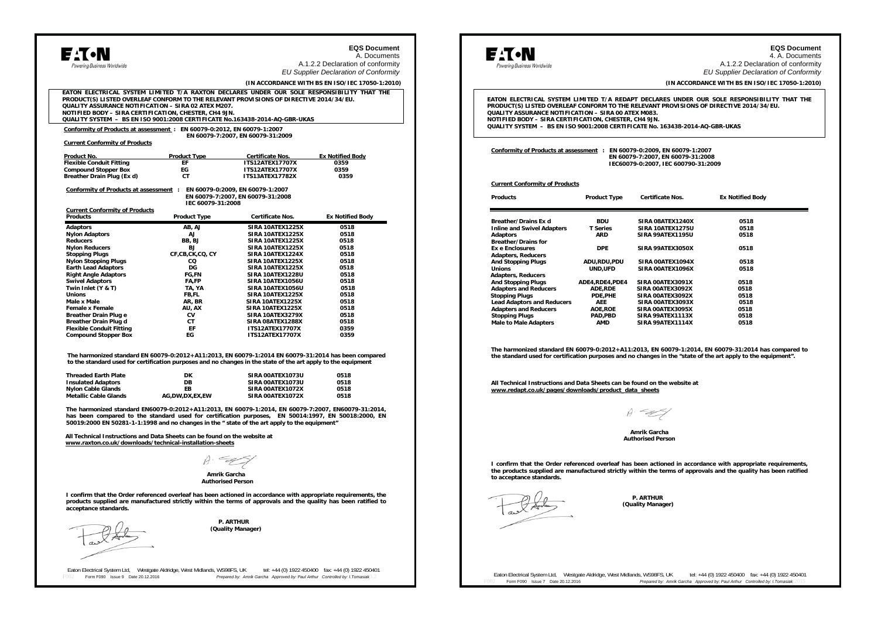| dowering Business Worldwide<br>EATON ELECTRICAL SYSTEM LIMITED T/A RAXTON DECLARES UNDER OUR SOLE RESPONSIBILITY THAT THE<br>PRODUCT(S) LISTED OVERLEAF CONFORM TO THE RELEVANT PROVISIONS OF DIRECTIVE 2014/34/EU.<br>QUALITY ASSURANCE NOTIFICATION - SIRA 02 ATEX M207.<br>NOTIFIED BODY - SIRA CERTIFICATION, CHESTER, CH4 9JN.<br>QUALITY SYSTEM - BS EN ISO 9001:2008 CERTIFICATE No.163438-2014-AQ-GBR-UKAS<br>Conformity of Products at assessment: EN 60079-0:2012, EN 60079-1:2007<br>EN 60079-7:2007, EN 60079-31:2009<br><b>Current Conformity of Products</b><br><b>Product Type</b><br><b>Ex Notified Body</b><br>Product No.<br><b>Certificate Nos.</b><br><b>Flexible Conduit Fitting</b><br><b>ITS12ATEX17707X</b><br>EF<br>0359<br><b>Compound Stopper Box</b><br>ЕG<br><b>ITS12ATEX17707X</b><br>0359<br>Breather Drain Plug (Ex d)<br>CT.<br><b>ITS13ATEX17782X</b><br>0359<br>EN 60079-0:2009, EN 60079-1:2007<br>Conformity of Products at assessment :<br>EN 60079-7:2007, EN 60079-31:2008<br>IEC 60079-31:2008<br><b>Current Conformity of Products</b><br><b>Products</b><br><b>Product Type</b><br><b>Certificate Nos.</b><br><b>Ex Notified Body</b><br><b>Adaptors</b><br>AB. AJ<br>SIRA 10ATEX1225X<br>0518<br><b>Nylon Adaptors</b><br>AJ<br>SIRA 10ATEX1225X<br>0518<br><b>Reducers</b><br>0518<br>BB, BJ<br>SIRA 10ATEX1225X<br><b>Nylon Reducers</b><br><b>SIRA 10ATEX1225X</b><br>0518<br><b>BI</b><br><b>Stopping Plugs</b><br>CF.CB.CK.CQ. CY<br>SIRA 10ATEX1224X<br>0518<br><b>Nylon Stopping Plugs</b><br>co<br>SIRA 10ATEX1225X<br>0518<br><b>Earth Lead Adaptors</b><br>DG<br>SIRA 10ATEX1225X<br>0518<br><b>Right Angle Adaptors</b><br><b>FG,FN</b><br>SIRA 10ATEX1228U<br>0518<br><b>Swivel Adaptors</b><br>SIRA 10ATEX1056U<br>FA,FP<br>0518<br>Twin Inlet (Y & T)<br>TA, YA<br>SIRA 10ATEX1056U<br>0518<br><b>SIRA 10ATEX1225X</b><br><b>Unions</b><br>FB.FL<br>0518<br>Male x Male<br>AR, BR<br>SIRA 10ATEX1225X<br>0518<br><b>Female x Female</b><br>AU, AX<br>SIRA 10ATEX1225X<br>0518<br><b>Breather Drain Plug e</b><br>СV<br>SIRA 10ATEX3279X<br>0518<br><b>Breather Drain Plug d</b><br>СT<br>SIRA 08ATEX1288X<br>0518<br><b>Flexible Conduit Fitting</b><br>FF<br><b>ITS12ATEX17707X</b><br>0359<br><b>Compound Stopper Box</b><br>FG<br><b>ITS12ATEX17707X</b><br>0359<br>The harmonized standard EN 60079-0:2012+A11:2013, EN 60079-1:2014 EN 60079-31:2014 has been compared<br>to the standard used for certification purposes and no changes in the state of the art apply to the equipment<br><b>Threaded Earth Plate</b><br>SIRA 00ATEX1073U<br>0518<br>DK<br><b>Insulated Adaptors</b><br><b>DR</b><br>SIRA 00ATEX1073U<br>0518<br><b>Nylon Cable Glands</b><br>EB<br>SIRA 00ATEX1072X<br>0518<br>AG,DW,DX,EX,EW<br><b>Metallic Cable Glands</b><br>SIRA 00ATEX1072X<br>0518<br>The harmonized standard EN60079-0:2012+A11:2013, EN 60079-1:2014, EN 60079-7:2007, EN60079-31:2014,<br>has been compared to the standard used for certification purposes, EN 50014:1997, EN 50018:2000, EN<br>50019:2000 EN 50281-1-1:1998 and no changes in the " state of the art apply to the equipment"<br>All Technical Instructions and Data Sheets can be found on the website at<br>www.raxton.co.uk/downloads/technical-installation-sheets<br>Amrik Garcha<br><b>Authorised Person</b><br>I confirm that the Order referenced overleaf has been actioned in accordance with appropriate requirements, the |                                                 |  | <b>EQS Document</b><br>A. Documents |  |
|-------------------------------------------------------------------------------------------------------------------------------------------------------------------------------------------------------------------------------------------------------------------------------------------------------------------------------------------------------------------------------------------------------------------------------------------------------------------------------------------------------------------------------------------------------------------------------------------------------------------------------------------------------------------------------------------------------------------------------------------------------------------------------------------------------------------------------------------------------------------------------------------------------------------------------------------------------------------------------------------------------------------------------------------------------------------------------------------------------------------------------------------------------------------------------------------------------------------------------------------------------------------------------------------------------------------------------------------------------------------------------------------------------------------------------------------------------------------------------------------------------------------------------------------------------------------------------------------------------------------------------------------------------------------------------------------------------------------------------------------------------------------------------------------------------------------------------------------------------------------------------------------------------------------------------------------------------------------------------------------------------------------------------------------------------------------------------------------------------------------------------------------------------------------------------------------------------------------------------------------------------------------------------------------------------------------------------------------------------------------------------------------------------------------------------------------------------------------------------------------------------------------------------------------------------------------------------------------------------------------------------------------------------------------------------------------------------------------------------------------------------------------------------------------------------------------------------------------------------------------------------------------------------------------------------------------------------------------------------------------------------------------------------------------------------------------------------------------------------------------------------------------------------------------------------------------------------------------------------------------------------------------------------------------------------------------------------------------------------------------------------------------------------------------------------------------------------------------|-------------------------------------------------|--|-------------------------------------|--|
|                                                                                                                                                                                                                                                                                                                                                                                                                                                                                                                                                                                                                                                                                                                                                                                                                                                                                                                                                                                                                                                                                                                                                                                                                                                                                                                                                                                                                                                                                                                                                                                                                                                                                                                                                                                                                                                                                                                                                                                                                                                                                                                                                                                                                                                                                                                                                                                                                                                                                                                                                                                                                                                                                                                                                                                                                                                                                                                                                                                                                                                                                                                                                                                                                                                                                                                                                                                                                                                                   | A.1.2.2 Declaration of conformity               |  |                                     |  |
|                                                                                                                                                                                                                                                                                                                                                                                                                                                                                                                                                                                                                                                                                                                                                                                                                                                                                                                                                                                                                                                                                                                                                                                                                                                                                                                                                                                                                                                                                                                                                                                                                                                                                                                                                                                                                                                                                                                                                                                                                                                                                                                                                                                                                                                                                                                                                                                                                                                                                                                                                                                                                                                                                                                                                                                                                                                                                                                                                                                                                                                                                                                                                                                                                                                                                                                                                                                                                                                                   | <b>EU Supplier Declaration of Conformity</b>    |  |                                     |  |
|                                                                                                                                                                                                                                                                                                                                                                                                                                                                                                                                                                                                                                                                                                                                                                                                                                                                                                                                                                                                                                                                                                                                                                                                                                                                                                                                                                                                                                                                                                                                                                                                                                                                                                                                                                                                                                                                                                                                                                                                                                                                                                                                                                                                                                                                                                                                                                                                                                                                                                                                                                                                                                                                                                                                                                                                                                                                                                                                                                                                                                                                                                                                                                                                                                                                                                                                                                                                                                                                   | (IN ACCORDANCE WITH BS EN ISO/IEC 17050-1:2010) |  |                                     |  |
|                                                                                                                                                                                                                                                                                                                                                                                                                                                                                                                                                                                                                                                                                                                                                                                                                                                                                                                                                                                                                                                                                                                                                                                                                                                                                                                                                                                                                                                                                                                                                                                                                                                                                                                                                                                                                                                                                                                                                                                                                                                                                                                                                                                                                                                                                                                                                                                                                                                                                                                                                                                                                                                                                                                                                                                                                                                                                                                                                                                                                                                                                                                                                                                                                                                                                                                                                                                                                                                                   |                                                 |  |                                     |  |
|                                                                                                                                                                                                                                                                                                                                                                                                                                                                                                                                                                                                                                                                                                                                                                                                                                                                                                                                                                                                                                                                                                                                                                                                                                                                                                                                                                                                                                                                                                                                                                                                                                                                                                                                                                                                                                                                                                                                                                                                                                                                                                                                                                                                                                                                                                                                                                                                                                                                                                                                                                                                                                                                                                                                                                                                                                                                                                                                                                                                                                                                                                                                                                                                                                                                                                                                                                                                                                                                   |                                                 |  |                                     |  |
|                                                                                                                                                                                                                                                                                                                                                                                                                                                                                                                                                                                                                                                                                                                                                                                                                                                                                                                                                                                                                                                                                                                                                                                                                                                                                                                                                                                                                                                                                                                                                                                                                                                                                                                                                                                                                                                                                                                                                                                                                                                                                                                                                                                                                                                                                                                                                                                                                                                                                                                                                                                                                                                                                                                                                                                                                                                                                                                                                                                                                                                                                                                                                                                                                                                                                                                                                                                                                                                                   |                                                 |  |                                     |  |
|                                                                                                                                                                                                                                                                                                                                                                                                                                                                                                                                                                                                                                                                                                                                                                                                                                                                                                                                                                                                                                                                                                                                                                                                                                                                                                                                                                                                                                                                                                                                                                                                                                                                                                                                                                                                                                                                                                                                                                                                                                                                                                                                                                                                                                                                                                                                                                                                                                                                                                                                                                                                                                                                                                                                                                                                                                                                                                                                                                                                                                                                                                                                                                                                                                                                                                                                                                                                                                                                   |                                                 |  |                                     |  |
|                                                                                                                                                                                                                                                                                                                                                                                                                                                                                                                                                                                                                                                                                                                                                                                                                                                                                                                                                                                                                                                                                                                                                                                                                                                                                                                                                                                                                                                                                                                                                                                                                                                                                                                                                                                                                                                                                                                                                                                                                                                                                                                                                                                                                                                                                                                                                                                                                                                                                                                                                                                                                                                                                                                                                                                                                                                                                                                                                                                                                                                                                                                                                                                                                                                                                                                                                                                                                                                                   |                                                 |  |                                     |  |
|                                                                                                                                                                                                                                                                                                                                                                                                                                                                                                                                                                                                                                                                                                                                                                                                                                                                                                                                                                                                                                                                                                                                                                                                                                                                                                                                                                                                                                                                                                                                                                                                                                                                                                                                                                                                                                                                                                                                                                                                                                                                                                                                                                                                                                                                                                                                                                                                                                                                                                                                                                                                                                                                                                                                                                                                                                                                                                                                                                                                                                                                                                                                                                                                                                                                                                                                                                                                                                                                   |                                                 |  |                                     |  |
|                                                                                                                                                                                                                                                                                                                                                                                                                                                                                                                                                                                                                                                                                                                                                                                                                                                                                                                                                                                                                                                                                                                                                                                                                                                                                                                                                                                                                                                                                                                                                                                                                                                                                                                                                                                                                                                                                                                                                                                                                                                                                                                                                                                                                                                                                                                                                                                                                                                                                                                                                                                                                                                                                                                                                                                                                                                                                                                                                                                                                                                                                                                                                                                                                                                                                                                                                                                                                                                                   |                                                 |  |                                     |  |
|                                                                                                                                                                                                                                                                                                                                                                                                                                                                                                                                                                                                                                                                                                                                                                                                                                                                                                                                                                                                                                                                                                                                                                                                                                                                                                                                                                                                                                                                                                                                                                                                                                                                                                                                                                                                                                                                                                                                                                                                                                                                                                                                                                                                                                                                                                                                                                                                                                                                                                                                                                                                                                                                                                                                                                                                                                                                                                                                                                                                                                                                                                                                                                                                                                                                                                                                                                                                                                                                   |                                                 |  |                                     |  |
|                                                                                                                                                                                                                                                                                                                                                                                                                                                                                                                                                                                                                                                                                                                                                                                                                                                                                                                                                                                                                                                                                                                                                                                                                                                                                                                                                                                                                                                                                                                                                                                                                                                                                                                                                                                                                                                                                                                                                                                                                                                                                                                                                                                                                                                                                                                                                                                                                                                                                                                                                                                                                                                                                                                                                                                                                                                                                                                                                                                                                                                                                                                                                                                                                                                                                                                                                                                                                                                                   |                                                 |  |                                     |  |
|                                                                                                                                                                                                                                                                                                                                                                                                                                                                                                                                                                                                                                                                                                                                                                                                                                                                                                                                                                                                                                                                                                                                                                                                                                                                                                                                                                                                                                                                                                                                                                                                                                                                                                                                                                                                                                                                                                                                                                                                                                                                                                                                                                                                                                                                                                                                                                                                                                                                                                                                                                                                                                                                                                                                                                                                                                                                                                                                                                                                                                                                                                                                                                                                                                                                                                                                                                                                                                                                   |                                                 |  |                                     |  |
|                                                                                                                                                                                                                                                                                                                                                                                                                                                                                                                                                                                                                                                                                                                                                                                                                                                                                                                                                                                                                                                                                                                                                                                                                                                                                                                                                                                                                                                                                                                                                                                                                                                                                                                                                                                                                                                                                                                                                                                                                                                                                                                                                                                                                                                                                                                                                                                                                                                                                                                                                                                                                                                                                                                                                                                                                                                                                                                                                                                                                                                                                                                                                                                                                                                                                                                                                                                                                                                                   |                                                 |  |                                     |  |
|                                                                                                                                                                                                                                                                                                                                                                                                                                                                                                                                                                                                                                                                                                                                                                                                                                                                                                                                                                                                                                                                                                                                                                                                                                                                                                                                                                                                                                                                                                                                                                                                                                                                                                                                                                                                                                                                                                                                                                                                                                                                                                                                                                                                                                                                                                                                                                                                                                                                                                                                                                                                                                                                                                                                                                                                                                                                                                                                                                                                                                                                                                                                                                                                                                                                                                                                                                                                                                                                   |                                                 |  |                                     |  |
|                                                                                                                                                                                                                                                                                                                                                                                                                                                                                                                                                                                                                                                                                                                                                                                                                                                                                                                                                                                                                                                                                                                                                                                                                                                                                                                                                                                                                                                                                                                                                                                                                                                                                                                                                                                                                                                                                                                                                                                                                                                                                                                                                                                                                                                                                                                                                                                                                                                                                                                                                                                                                                                                                                                                                                                                                                                                                                                                                                                                                                                                                                                                                                                                                                                                                                                                                                                                                                                                   |                                                 |  |                                     |  |
|                                                                                                                                                                                                                                                                                                                                                                                                                                                                                                                                                                                                                                                                                                                                                                                                                                                                                                                                                                                                                                                                                                                                                                                                                                                                                                                                                                                                                                                                                                                                                                                                                                                                                                                                                                                                                                                                                                                                                                                                                                                                                                                                                                                                                                                                                                                                                                                                                                                                                                                                                                                                                                                                                                                                                                                                                                                                                                                                                                                                                                                                                                                                                                                                                                                                                                                                                                                                                                                                   |                                                 |  |                                     |  |
|                                                                                                                                                                                                                                                                                                                                                                                                                                                                                                                                                                                                                                                                                                                                                                                                                                                                                                                                                                                                                                                                                                                                                                                                                                                                                                                                                                                                                                                                                                                                                                                                                                                                                                                                                                                                                                                                                                                                                                                                                                                                                                                                                                                                                                                                                                                                                                                                                                                                                                                                                                                                                                                                                                                                                                                                                                                                                                                                                                                                                                                                                                                                                                                                                                                                                                                                                                                                                                                                   |                                                 |  |                                     |  |
|                                                                                                                                                                                                                                                                                                                                                                                                                                                                                                                                                                                                                                                                                                                                                                                                                                                                                                                                                                                                                                                                                                                                                                                                                                                                                                                                                                                                                                                                                                                                                                                                                                                                                                                                                                                                                                                                                                                                                                                                                                                                                                                                                                                                                                                                                                                                                                                                                                                                                                                                                                                                                                                                                                                                                                                                                                                                                                                                                                                                                                                                                                                                                                                                                                                                                                                                                                                                                                                                   |                                                 |  |                                     |  |
|                                                                                                                                                                                                                                                                                                                                                                                                                                                                                                                                                                                                                                                                                                                                                                                                                                                                                                                                                                                                                                                                                                                                                                                                                                                                                                                                                                                                                                                                                                                                                                                                                                                                                                                                                                                                                                                                                                                                                                                                                                                                                                                                                                                                                                                                                                                                                                                                                                                                                                                                                                                                                                                                                                                                                                                                                                                                                                                                                                                                                                                                                                                                                                                                                                                                                                                                                                                                                                                                   |                                                 |  |                                     |  |
|                                                                                                                                                                                                                                                                                                                                                                                                                                                                                                                                                                                                                                                                                                                                                                                                                                                                                                                                                                                                                                                                                                                                                                                                                                                                                                                                                                                                                                                                                                                                                                                                                                                                                                                                                                                                                                                                                                                                                                                                                                                                                                                                                                                                                                                                                                                                                                                                                                                                                                                                                                                                                                                                                                                                                                                                                                                                                                                                                                                                                                                                                                                                                                                                                                                                                                                                                                                                                                                                   |                                                 |  |                                     |  |
|                                                                                                                                                                                                                                                                                                                                                                                                                                                                                                                                                                                                                                                                                                                                                                                                                                                                                                                                                                                                                                                                                                                                                                                                                                                                                                                                                                                                                                                                                                                                                                                                                                                                                                                                                                                                                                                                                                                                                                                                                                                                                                                                                                                                                                                                                                                                                                                                                                                                                                                                                                                                                                                                                                                                                                                                                                                                                                                                                                                                                                                                                                                                                                                                                                                                                                                                                                                                                                                                   |                                                 |  |                                     |  |
|                                                                                                                                                                                                                                                                                                                                                                                                                                                                                                                                                                                                                                                                                                                                                                                                                                                                                                                                                                                                                                                                                                                                                                                                                                                                                                                                                                                                                                                                                                                                                                                                                                                                                                                                                                                                                                                                                                                                                                                                                                                                                                                                                                                                                                                                                                                                                                                                                                                                                                                                                                                                                                                                                                                                                                                                                                                                                                                                                                                                                                                                                                                                                                                                                                                                                                                                                                                                                                                                   |                                                 |  |                                     |  |
|                                                                                                                                                                                                                                                                                                                                                                                                                                                                                                                                                                                                                                                                                                                                                                                                                                                                                                                                                                                                                                                                                                                                                                                                                                                                                                                                                                                                                                                                                                                                                                                                                                                                                                                                                                                                                                                                                                                                                                                                                                                                                                                                                                                                                                                                                                                                                                                                                                                                                                                                                                                                                                                                                                                                                                                                                                                                                                                                                                                                                                                                                                                                                                                                                                                                                                                                                                                                                                                                   |                                                 |  |                                     |  |
|                                                                                                                                                                                                                                                                                                                                                                                                                                                                                                                                                                                                                                                                                                                                                                                                                                                                                                                                                                                                                                                                                                                                                                                                                                                                                                                                                                                                                                                                                                                                                                                                                                                                                                                                                                                                                                                                                                                                                                                                                                                                                                                                                                                                                                                                                                                                                                                                                                                                                                                                                                                                                                                                                                                                                                                                                                                                                                                                                                                                                                                                                                                                                                                                                                                                                                                                                                                                                                                                   |                                                 |  |                                     |  |
|                                                                                                                                                                                                                                                                                                                                                                                                                                                                                                                                                                                                                                                                                                                                                                                                                                                                                                                                                                                                                                                                                                                                                                                                                                                                                                                                                                                                                                                                                                                                                                                                                                                                                                                                                                                                                                                                                                                                                                                                                                                                                                                                                                                                                                                                                                                                                                                                                                                                                                                                                                                                                                                                                                                                                                                                                                                                                                                                                                                                                                                                                                                                                                                                                                                                                                                                                                                                                                                                   |                                                 |  |                                     |  |
|                                                                                                                                                                                                                                                                                                                                                                                                                                                                                                                                                                                                                                                                                                                                                                                                                                                                                                                                                                                                                                                                                                                                                                                                                                                                                                                                                                                                                                                                                                                                                                                                                                                                                                                                                                                                                                                                                                                                                                                                                                                                                                                                                                                                                                                                                                                                                                                                                                                                                                                                                                                                                                                                                                                                                                                                                                                                                                                                                                                                                                                                                                                                                                                                                                                                                                                                                                                                                                                                   |                                                 |  |                                     |  |
|                                                                                                                                                                                                                                                                                                                                                                                                                                                                                                                                                                                                                                                                                                                                                                                                                                                                                                                                                                                                                                                                                                                                                                                                                                                                                                                                                                                                                                                                                                                                                                                                                                                                                                                                                                                                                                                                                                                                                                                                                                                                                                                                                                                                                                                                                                                                                                                                                                                                                                                                                                                                                                                                                                                                                                                                                                                                                                                                                                                                                                                                                                                                                                                                                                                                                                                                                                                                                                                                   |                                                 |  |                                     |  |
|                                                                                                                                                                                                                                                                                                                                                                                                                                                                                                                                                                                                                                                                                                                                                                                                                                                                                                                                                                                                                                                                                                                                                                                                                                                                                                                                                                                                                                                                                                                                                                                                                                                                                                                                                                                                                                                                                                                                                                                                                                                                                                                                                                                                                                                                                                                                                                                                                                                                                                                                                                                                                                                                                                                                                                                                                                                                                                                                                                                                                                                                                                                                                                                                                                                                                                                                                                                                                                                                   |                                                 |  |                                     |  |
|                                                                                                                                                                                                                                                                                                                                                                                                                                                                                                                                                                                                                                                                                                                                                                                                                                                                                                                                                                                                                                                                                                                                                                                                                                                                                                                                                                                                                                                                                                                                                                                                                                                                                                                                                                                                                                                                                                                                                                                                                                                                                                                                                                                                                                                                                                                                                                                                                                                                                                                                                                                                                                                                                                                                                                                                                                                                                                                                                                                                                                                                                                                                                                                                                                                                                                                                                                                                                                                                   |                                                 |  |                                     |  |
|                                                                                                                                                                                                                                                                                                                                                                                                                                                                                                                                                                                                                                                                                                                                                                                                                                                                                                                                                                                                                                                                                                                                                                                                                                                                                                                                                                                                                                                                                                                                                                                                                                                                                                                                                                                                                                                                                                                                                                                                                                                                                                                                                                                                                                                                                                                                                                                                                                                                                                                                                                                                                                                                                                                                                                                                                                                                                                                                                                                                                                                                                                                                                                                                                                                                                                                                                                                                                                                                   |                                                 |  |                                     |  |
|                                                                                                                                                                                                                                                                                                                                                                                                                                                                                                                                                                                                                                                                                                                                                                                                                                                                                                                                                                                                                                                                                                                                                                                                                                                                                                                                                                                                                                                                                                                                                                                                                                                                                                                                                                                                                                                                                                                                                                                                                                                                                                                                                                                                                                                                                                                                                                                                                                                                                                                                                                                                                                                                                                                                                                                                                                                                                                                                                                                                                                                                                                                                                                                                                                                                                                                                                                                                                                                                   |                                                 |  |                                     |  |
|                                                                                                                                                                                                                                                                                                                                                                                                                                                                                                                                                                                                                                                                                                                                                                                                                                                                                                                                                                                                                                                                                                                                                                                                                                                                                                                                                                                                                                                                                                                                                                                                                                                                                                                                                                                                                                                                                                                                                                                                                                                                                                                                                                                                                                                                                                                                                                                                                                                                                                                                                                                                                                                                                                                                                                                                                                                                                                                                                                                                                                                                                                                                                                                                                                                                                                                                                                                                                                                                   |                                                 |  |                                     |  |
|                                                                                                                                                                                                                                                                                                                                                                                                                                                                                                                                                                                                                                                                                                                                                                                                                                                                                                                                                                                                                                                                                                                                                                                                                                                                                                                                                                                                                                                                                                                                                                                                                                                                                                                                                                                                                                                                                                                                                                                                                                                                                                                                                                                                                                                                                                                                                                                                                                                                                                                                                                                                                                                                                                                                                                                                                                                                                                                                                                                                                                                                                                                                                                                                                                                                                                                                                                                                                                                                   |                                                 |  |                                     |  |
| products supplied are manufactured strictly within the terms of approvals and the quality has been ratified to<br>acceptance standards.                                                                                                                                                                                                                                                                                                                                                                                                                                                                                                                                                                                                                                                                                                                                                                                                                                                                                                                                                                                                                                                                                                                                                                                                                                                                                                                                                                                                                                                                                                                                                                                                                                                                                                                                                                                                                                                                                                                                                                                                                                                                                                                                                                                                                                                                                                                                                                                                                                                                                                                                                                                                                                                                                                                                                                                                                                                                                                                                                                                                                                                                                                                                                                                                                                                                                                                           |                                                 |  |                                     |  |
|                                                                                                                                                                                                                                                                                                                                                                                                                                                                                                                                                                                                                                                                                                                                                                                                                                                                                                                                                                                                                                                                                                                                                                                                                                                                                                                                                                                                                                                                                                                                                                                                                                                                                                                                                                                                                                                                                                                                                                                                                                                                                                                                                                                                                                                                                                                                                                                                                                                                                                                                                                                                                                                                                                                                                                                                                                                                                                                                                                                                                                                                                                                                                                                                                                                                                                                                                                                                                                                                   |                                                 |  |                                     |  |
| <b>P. ARTHUR</b><br>(Quality Manager)                                                                                                                                                                                                                                                                                                                                                                                                                                                                                                                                                                                                                                                                                                                                                                                                                                                                                                                                                                                                                                                                                                                                                                                                                                                                                                                                                                                                                                                                                                                                                                                                                                                                                                                                                                                                                                                                                                                                                                                                                                                                                                                                                                                                                                                                                                                                                                                                                                                                                                                                                                                                                                                                                                                                                                                                                                                                                                                                                                                                                                                                                                                                                                                                                                                                                                                                                                                                                             |                                                 |  |                                     |  |

Eaton Electrical System Ltd, Westgate Aldridge, West Midlands, WS98FS, UK tel: +44 (0) 1922 450400 fax: +44 (0) 1922 450401<br>Follower Form Form Form Pole 20.12.2016 Prepared by: Amrik Garcha Approved by: Paul Arthur Control

**E**:T.N Powering Business Worldwide

**EQS Document** 4. A. DocumentsA.1.2.2 Declaration of conformity *EU Supplier Declaration of Conformity*

**(IN ACCORDANCE WITH BS EN ISO/IEC 17050-1:2010)**

**EATON ELECTRICAL SYSTEM LIMITED T/A REDAPT DECLARES UNDER OUR SOLE RESPONSIBILITY THAT THE PRODUCT(S) LISTED OVERLEAF CONFORM TO THE RELEVANT PROVISIONS OF DIRECTIVE 2014/34/EU. QUALITY ASSURANCE NOTIFICATION – SIRA 00 ATEX M083. NOTIFIED BODY – SIRA CERTIFICATION, CHESTER, CH4 9JN. QUALITY SYSTEM – BS EN ISO 9001:2008 CERTIFICATE No. 163438-2014-AQ-GBR-UKAS**

| Conformity of Products at assessment :<br>EN 60079-0:2009, EN 60079-1:2007<br>EN 60079-7:2007. EN 60079-31:2008<br>IEC60079-0:2007. IEC 600790-31:2009 |                     |                         |                         |  |  |  |
|--------------------------------------------------------------------------------------------------------------------------------------------------------|---------------------|-------------------------|-------------------------|--|--|--|
| <b>Current Conformity of Products</b>                                                                                                                  |                     |                         |                         |  |  |  |
| <b>Products</b>                                                                                                                                        | <b>Product Type</b> | <b>Certificate Nos.</b> | <b>Ex Notified Body</b> |  |  |  |
| <b>Breather/Drains Fx d</b>                                                                                                                            | <b>BDU</b>          | SIRA 08ATEX1240X        | 0518                    |  |  |  |
| <b>Inline and Swivel Adapters</b>                                                                                                                      | <b>T</b> Series     | SIRA 10ATEX1275U        | 0518                    |  |  |  |
| <b>Adaptors</b>                                                                                                                                        | <b>ARD</b>          | SIRA 99ATEX1195U        | 0518                    |  |  |  |
| <b>Breather/Drains for</b>                                                                                                                             |                     |                         |                         |  |  |  |
| <b>Ex e Enclosures</b>                                                                                                                                 | <b>DPE</b>          | SIRA 99ATEX3050X        | 0518                    |  |  |  |
| <b>Adapters, Reducers</b>                                                                                                                              |                     |                         |                         |  |  |  |
| <b>And Stopping Plugs</b>                                                                                                                              | ADU,RDU,PDU         | SIRA OOATEX1094X        | 0518                    |  |  |  |
| <b>Unions</b>                                                                                                                                          | <b>UND.UFD</b>      | SIRA OOATEX1096X        | 0518                    |  |  |  |
| <b>Adapters, Reducers</b>                                                                                                                              |                     |                         |                         |  |  |  |
| <b>And Stopping Plugs</b>                                                                                                                              | ADE4, RDE4, PDE4    | SIRA 00ATEX3091X        | 0518                    |  |  |  |
| <b>Adapters and Reducers</b>                                                                                                                           | ADE.RDE             | SIRA 00ATEX3092X        | 0518                    |  |  |  |
| <b>Stopping Plugs</b>                                                                                                                                  | PDE.PHE             | SIRA 00ATEX3092X        | 0518                    |  |  |  |
| <b>Lead Adaptors and Reducers</b>                                                                                                                      | <b>AEE</b>          | SIRA OOATEX3093X        | 0518                    |  |  |  |
| <b>Adapters and Reducers</b>                                                                                                                           | AOE, ROE            | SIRA 00ATEX3095X        | 0518                    |  |  |  |
| <b>Stopping Plugs</b>                                                                                                                                  | PAD.PBD             | SIRA 99ATEX1113X        | 0518                    |  |  |  |
| <b>Male to Male Adapters</b>                                                                                                                           | <b>AMD</b>          | SIRA 99ATEX1114X        | 0518                    |  |  |  |

**The harmonized standard EN 60079-0:2012+A11:2013, EN 60079-1:2014, EN 60079-31:2014 has compared to the standard used for certification purposes and no changes in the "state of the art apply to the equipment".**

**All Technical Instructions and Data Sheets can be found on the website at www.redapt.co.uk/pages/downloads/product\_data\_sheets**

**Amrik GarchaAuthorised Person**

**I confirm that the Order referenced overleaf has been actioned in accordance with appropriate requirements, the products supplied are manufactured strictly within the terms of approvals and the quality has been ratified to acceptance standards.**

 **P. ARTHUR (Quality Manager)**